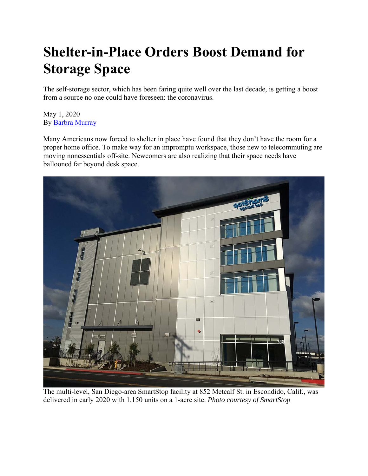## **Shelter-in-Place Orders Boost Demand for Storage Space**

The self-storage sector, which has been faring quite well over the last decade, is getting a boost from a source no one could have foreseen: the coronavirus.

May 1, 2020 By Barbra Murray

Many Americans now forced to shelter in place have found that they don't have the room for a proper home office. To make way for an impromptu workspace, those new to telecommuting are moving nonessentials off-site. Newcomers are also realizing that their space needs have ballooned far beyond desk space.



The multi-level, San Diego-area SmartStop facility at 852 Metcalf St. in Escondido, Calif., was delivered in early 2020 with 1,150 units on a 1-acre site. *Photo courtesy of SmartStop*